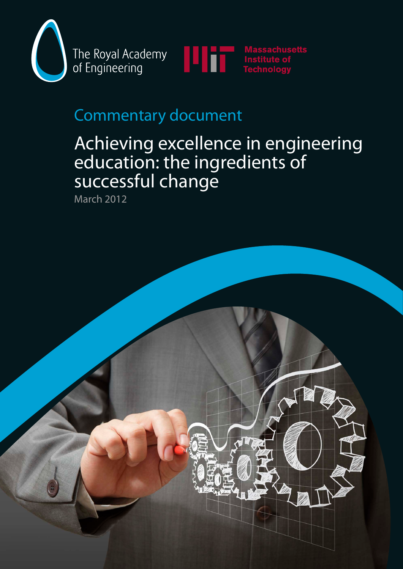

The Royal Academy of Engineering



# Commentary document

# Achieving excellence in engineering education: the ingredients of successful change

March 2012

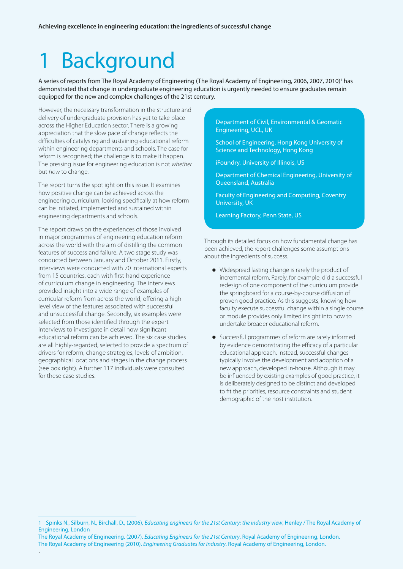# **Background**

A series of reports from The Royal Academy of Engineering (The Royal Academy of Engineering, 2006, 2007, 2010)' has demonstrated that change in undergraduate engineering education is urgently needed to ensure graduates remain equipped for the new and complex challenges of the 21st century.

However, the necessary transformation in the structure and delivery of undergraduate provision has yet to take place across the Higher Education sector. There is a growing appreciation that the slow pace of change reflects the difficulties of catalysing and sustaining educational reform within engineering departments and schools. The case for reform is recognised; the challenge is to make it happen. The pressing issue for engineering education is not *whether* but *how* to change.

The report turns the spotlight on this issue. It examines how positive change can be achieved across the engineering curriculum, looking specifically at how reform can be initiated, implemented and sustained within engineering departments and schools.

The report draws on the experiences of those involved in major programmes of engineering education reform across the world with the aim of distilling the common features of success and failure. A two stage study was conducted between January and October 2011. Firstly, interviews were conducted with 70 international experts from 15 countries, each with first-hand experience of curriculum change in engineering. The interviews provided insight into a wide range of examples of curricular reform from across the world, offering a highlevel view of the features associated with successful and unsuccessful change. Secondly, six examples were selected from those identified through the expert interviews to investigate in detail how significant educational reform can be achieved. The six case studies are all highly-regarded, selected to provide a spectrum of drivers for reform, change strategies, levels of ambition, geographical locations and stages in the change process (see box right). A further 117 individuals were consulted for these case studies.

Department of Civil, Environmental & Geomatic Engineering, UCL, UK

School of Engineering, Hong Kong University of Science and Technology, Hong Kong

iFoundry, University of Illinois, US

Department of Chemical Engineering, University of Queensland, Australia

Faculty of Engineering and Computing, Coventry University, UK

Learning Factory, Penn State, US

Through its detailed focus on how fundamental change has been achieved, the report challenges some assumptions about the ingredients of success.

- $\bullet$  Widespread lasting change is rarely the product of incremental reform. Rarely, for example, did a successful redesign of one component of the curriculum provide the springboard for a course-by-course diffusion of proven good practice. As this suggests, knowing how faculty execute successful change within a single course or module provides only limited insight into how to undertake broader educational reform.
- Successful programmes of reform are rarely informed by evidence demonstrating the efficacy of a particular educational approach. Instead, successful changes typically involve the development and adoption of a new approach, developed in-house. Although it may be influenced by existing examples of good practice, it is deliberately designed to be distinct and developed to fit the priorities, resource constraints and student demographic of the host institution.

<sup>1</sup> Spinks N., Silburn, N., Birchall, D., (2006), *Educating engineers for the 21st Century: the industry view*, Henley / The Royal Academy of Engineering, London

The Royal Academy of Engineering. (2007). *Educating Engineers for the 21st Century*. Royal Academy of Engineering, London. The Royal Academy of Engineering (2010). *Engineering Graduates for Industry*. Royal Academy of Engineering, London.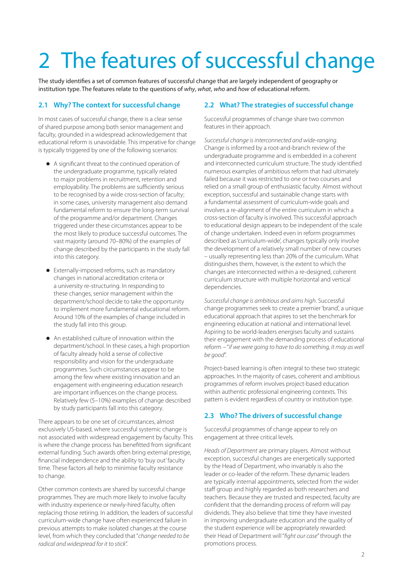# 2 The features of successful change

The study identifies a set of common features of successful change that are largely independent of geography or institution type. The features relate to the questions of *why*, *what*, *who* and *how* of educational reform.

### **2.1 Why? The context for successful change**

In most cases of successful change, there is a clear sense of shared purpose among both senior management and faculty, grounded in a widespread acknowledgement that educational reform is unavoidable. This imperative for change is typically triggered by one of the following scenarios:

- A significant threat to the continued operation of the undergraduate programme, typically related to major problems in recruitment, retention and employability. The problems are sufficiently serious to be recognised by a wide cross-section of faculty; in some cases, university management also demand fundamental reform to ensure the long-term survival of the programme and/or department. Changes triggered under these circumstances appear to be the most likely to produce successful outcomes. The vast majority (around 70–80%) of the examples of change described by the participants in the study fall into this category.
- Externally-imposed reforms, such as mandatory changes in national accreditation criteria or a university re-structuring. In responding to these changes, senior management within the department/school decide to take the opportunity to implement more fundamental educational reform. Around 10% of the examples of change included in the study fall into this group.
- $\bullet$  An established culture of innovation within the department/school. In these cases, a high proportion of faculty already hold a sense of collective responsibility and vision for the undergraduate programmes. Such circumstances appear to be among the few where existing innovation and an engagement with engineering education research are important influences on the change process. Relatively few (5–10%) examples of change described by study participants fall into this category.

There appears to be one set of circumstances, almost exclusively US-based, where successful systemic change is not associated with widespread engagement by faculty. This is where the change process has benefitted from significant external funding. Such awards often bring external prestige, financial independence and the ability to 'buy out' faculty time. These factors all help to minimise faculty resistance to change.

Other common contexts are shared by successful change programmes. They are much more likely to involve faculty with industry experience or newly-hired faculty, often replacing those retiring. In addition, the leaders of successful curriculum-wide change have often experienced failure in previous attempts to make isolated changes at the course level, from which they concluded that "*change needed to be radical and widespread for it to stick*".

### **2.2 What? The strategies of successful change**

Successful programmes of change share two common features in their approach.

*Successful change is interconnected and wide-ranging*. Change is informed by a root-and-branch review of the undergraduate programme and is embedded in a coherent and interconnected curriculum structure. The study identified numerous examples of ambitious reform that had ultimately failed because it was restricted to one or two courses and relied on a small group of enthusiastic faculty. Almost without exception, successful and sustainable change starts with a fundamental assessment of curriculum-wide goals and involves a re-alignment of the entire curriculum in which a cross-section of faculty is involved. This successful approach to educational design appears to be independent of the scale of change undertaken. Indeed even in reform programmes described as 'curriculum-wide', changes typically only involve the development of a relatively small number of new courses – usually representing less than 20% of the curriculum. What distinguishes them, however, is the extent to which the changes are interconnected within a re-designed, coherent curriculum structure with multiple horizontal and vertical dependencies.

*Successful change is ambitious and aims high*. Successful change programmes seek to create a premier 'brand', a unique educational approach that aspires to set the benchmark for engineering education at national and international level. Aspiring to be world-leaders energises faculty and sustains their engagement with the demanding process of educational reform – "*if we were going to have to do something, it may as well be good*".

Project-based learning is often integral to these two strategic approaches. In the majority of cases, coherent and ambitious programmes of reform involves project-based education within authentic professional engineering contexts. This pattern is evident regardless of country or institution type.

### **2.3 Who? The drivers of successful change**

Successful programmes of change appear to rely on engagement at three critical levels.

*Heads of Department* are primary players. Almost without exception, successful changes are energetically supported by the Head of Department, who invariably is also the leader or co-leader of the reform. These dynamic leaders are typically internal appointments, selected from the wider staff group and highly regarded as both researchers and teachers. Because they are trusted and respected, faculty are confident that the demanding process of reform will pay dividends. They also believe that time they have invested in improving undergraduate education and the quality of the student experience will be appropriately rewarded: their Head of Department will "*fight our case*" through the promotions process.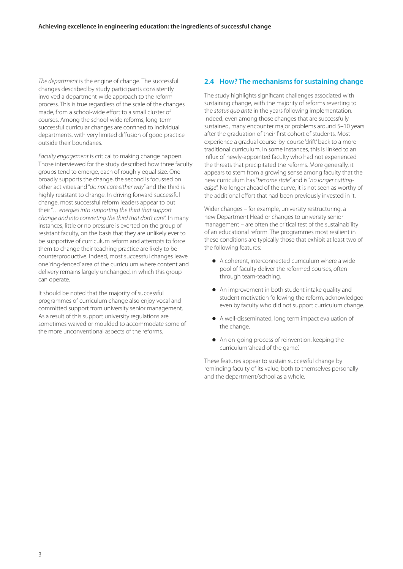*The department* is the engine of change. The successful changes described by study participants consistently involved a department-wide approach to the reform process. This is true regardless of the scale of the changes made, from a school-wide effort to a small cluster of courses. Among the school-wide reforms, long-term successful curricular changes are confined to individual departments, with very limited diffusion of good practice outside their boundaries.

*Faculty engagement* is critical to making change happen. Those interviewed for the study described how three faculty groups tend to emerge, each of roughly equal size. One broadly supports the change, the second is focussed on other activities and "*do not care either way*" and the third is highly resistant to change. In driving forward successful change, most successful reform leaders appear to put their "*…energies into supporting the third that support change and into converting the third that don't care*". In many instances, little or no pressure is exerted on the group of resistant faculty, on the basis that they are unlikely ever to be supportive of curriculum reform and attempts to force them to change their teaching practice are likely to be counterproductive. Indeed, most successful changes leave one 'ring-fenced' area of the curriculum where content and delivery remains largely unchanged, in which this group can operate.

It should be noted that the majority of successful programmes of curriculum change also enjoy vocal and committed support from university senior management. As a result of this support university regulations are sometimes waived or moulded to accommodate some of the more unconventional aspects of the reforms.

# **2.4 How? The mechanisms for sustaining change**

The study highlights significant challenges associated with sustaining change, with the majority of reforms reverting to the *status quo ante* in the years following implementation. Indeed, even among those changes that are successfully sustained, many encounter major problems around 5–10 years after the graduation of their first cohort of students. Most experience a gradual course-by-course 'drift' back to a more traditional curriculum. In some instances, this is linked to an influx of newly-appointed faculty who had not experienced the threats that precipitated the reforms. More generally, it appears to stem from a growing sense among faculty that the new curriculum has "*become stale*" and is "*no longer cuttingedge*". No longer ahead of the curve, it is not seen as worthy of the additional effort that had been previously invested in it.

Wider changes – for example, university restructuring, a new Department Head or changes to university senior management – are often the critical test of the sustainability of an educational reform. The programmes most resilient in these conditions are typically those that exhibit at least two of the following features:

- A coherent, interconnected curriculum where a wide pool of faculty deliver the reformed courses, often through team-teaching.
- An improvement in both student intake quality and student motivation following the reform, acknowledged even by faculty who did not support curriculum change.
- A well-disseminated, long term impact evaluation of the change.
- An on-going process of reinvention, keeping the curriculum 'ahead of the game'.

These features appear to sustain successful change by reminding faculty of its value, both to themselves personally and the department/school as a whole.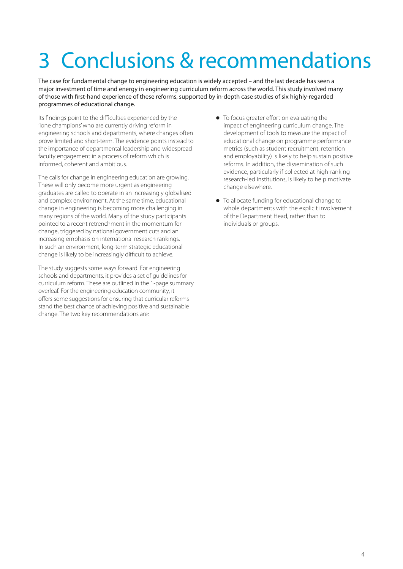# 3 Conclusions & recommendations

The case for fundamental change to engineering education is widely accepted – and the last decade has seen a major investment of time and energy in engineering curriculum reform across the world. This study involved many of those with first-hand experience of these reforms, supported by in-depth case studies of six highly-regarded programmes of educational change.

Its findings point to the difficulties experienced by the 'lone champions' who are currently driving reform in engineering schools and departments, where changes often prove limited and short-term. The evidence points instead to the importance of departmental leadership and widespread faculty engagement in a process of reform which is informed, coherent and ambitious.

The calls for change in engineering education are growing. These will only become more urgent as engineering graduates are called to operate in an increasingly globalised and complex environment. At the same time, educational change in engineering is becoming more challenging in many regions of the world. Many of the study participants pointed to a recent retrenchment in the momentum for change, triggered by national government cuts and an increasing emphasis on international research rankings. In such an environment, long-term strategic educational change is likely to be increasingly difficult to achieve.

The study suggests some ways forward. For engineering schools and departments, it provides a set of guidelines for curriculum reform. These are outlined in the 1-page summary overleaf. For the engineering education community, it offers some suggestions for ensuring that curricular reforms stand the best chance of achieving positive and sustainable change. The two key recommendations are:

- $\bullet$  To focus greater effort on evaluating the impact of engineering curriculum change. The development of tools to measure the impact of educational change on programme performance metrics (such as student recruitment, retention and employability) is likely to help sustain positive reforms. In addition, the dissemination of such evidence, particularly if collected at high-ranking research-led institutions, is likely to help motivate change elsewhere.
- $\bullet$  To allocate funding for educational change to whole departments with the explicit involvement of the Department Head, rather than to individuals or groups.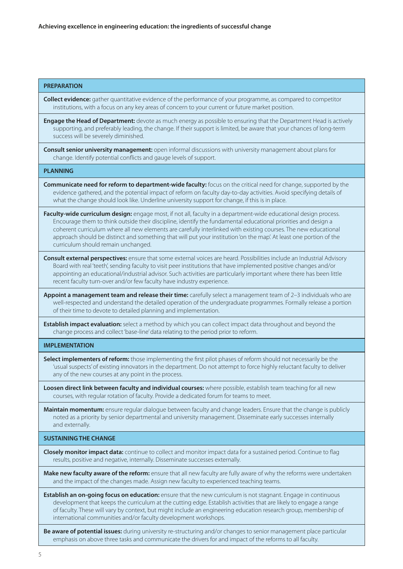#### **PREPARATION**

**Collect evidence:** gather quantitative evidence of the performance of your programme, as compared to competitor institutions, with a focus on any key areas of concern to your current or future market position.

**Engage the Head of Department:** devote as much energy as possible to ensuring that the Department Head is actively supporting, and preferably leading, the change. If their support is limited, be aware that your chances of long-term success will be severely diminished.

**Consult senior university management:** open informal discussions with university management about plans for change. Identify potential conflicts and gauge levels of support.

#### **PLANNING**

**Communicate need for reform to department-wide faculty:** focus on the critical need for change, supported by the evidence gathered, and the potential impact of reform on faculty day-to-day activities. Avoid specifying details of what the change should look like. Underline university support for change, if this is in place.

**Faculty-wide curriculum design:** engage most, if not all, faculty in a department-wide educational design process. Encourage them to think outside their discipline, identify the fundamental educational priorities and design a coherent curriculum where all new elements are carefully interlinked with existing courses. The new educational approach should be distinct and something that will put your institution 'on the map'. At least one portion of the curriculum should remain unchanged.

**Consult external perspectives:** ensure that some external voices are heard. Possibilities include an Industrial Advisory Board with real 'teeth', sending faculty to visit peer institutions that have implemented positive changes and/or appointing an educational/industrial advisor. Such activities are particularly important where there has been little recent faculty turn-over and/or few faculty have industry experience.

**Appoint a management team and release their time:** carefully select a management team of 2–3 individuals who are well-respected and understand the detailed operation of the undergraduate programmes. Formally release a portion of their time to devote to detailed planning and implementation.

**Establish impact evaluation:** select a method by which you can collect impact data throughout and beyond the change process and collect 'base-line' data relating to the period prior to reform.

#### **IMPLEMENTATION**

**Select implementers of reform:** those implementing the first pilot phases of reform should not necessarily be the 'usual suspects' of existing innovators in the department. Do not attempt to force highly reluctant faculty to deliver any of the new courses at any point in the process.

**Loosen direct link between faculty and individual courses:** where possible, establish team teaching for all new courses, with regular rotation of faculty. Provide a dedicated forum for teams to meet.

**Maintain momentum:** ensure regular dialogue between faculty and change leaders. Ensure that the change is publicly noted as a priority by senior departmental and university management. Disseminate early successes internally and externally.

#### **SUSTAINING THE CHANGE**

**Closely monitor impact data:** continue to collect and monitor impact data for a sustained period. Continue to flag results, positive and negative, internally. Disseminate successes externally.

**Make new faculty aware of the reform:** ensure that all new faculty are fully aware of why the reforms were undertaken and the impact of the changes made. Assign new faculty to experienced teaching teams.

**Establish an on-going focus on education:** ensure that the new curriculum is not stagnant. Engage in continuous development that keeps the curriculum at the cutting edge. Establish activities that are likely to engage a range of faculty. These will vary by context, but might include an engineering education research group, membership of international communities and/or faculty development workshops.

**Be aware of potential issues:** during university re-structuring and/or changes to senior management place particular emphasis on above three tasks and communicate the drivers for and impact of the reforms to all faculty.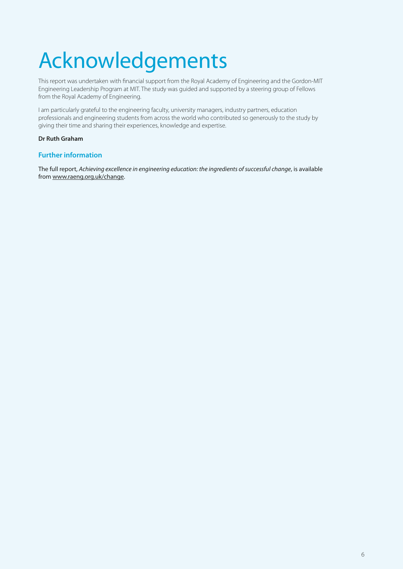# Acknowledgements

This report was undertaken with financial support from the Royal Academy of Engineering and the Gordon-MIT Engineering Leadership Program at MIT. The study was guided and supported by a steering group of Fellows from the Royal Academy of Engineering.

I am particularly grateful to the engineering faculty, university managers, industry partners, education professionals and engineering students from across the world who contributed so generously to the study by giving their time and sharing their experiences, knowledge and expertise.

#### **Dr Ruth Graham**

### **Further information**

The full report, *Achieving excellence in engineering education: the ingredients of successful change*, is available from [www.raeng.org.uk/change.](http://www.raeng.org.uk/change)